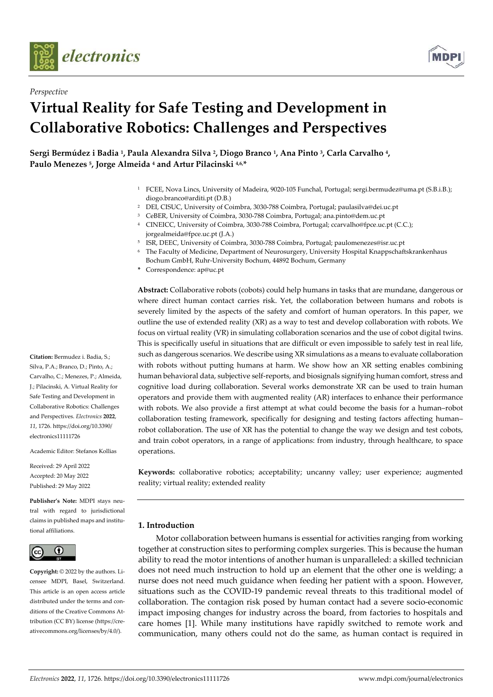

*Perspective*



# **Virtual Reality for Safe Testing and Development in Collaborative Robotics: Challenges and Perspectives**

**Sergi Bermúdez i Badia 1, Paula Alexandra Silva 2, Diogo Branco 1, Ana Pinto 3, Carla Carvalho 4, Paulo Menezes 5, Jorge Almeida 4 and Artur Pilacinski 4,6,\*** 

- 1 FCEE, Nova Lincs, University of Madeira, 9020-105 Funchal, Portugal; sergi.bermudez@uma.pt (S.B.i.B.); diogo.branco@arditi.pt (D.B.)
- 2 DEI, CISUC, University of Coimbra, 3030-788 Coimbra, Portugal; paulasilva@dei.uc.pt
- <sup>3</sup> CeBER, University of Coimbra, 3030-788 Coimbra, Portugal; ana.pinto@dem.uc.pt
- 4 CINEICC, University of Coimbra, 3030-788 Coimbra, Portugal; ccarvalho@fpce.uc.pt (C.C.); jorgealmeida@fpce.uc.pt (J.A.)
- 5 ISR, DEEC, University of Coimbra, 3030-788 Coimbra, Portugal; paulomenezes@isr.uc.pt
- 6 The Faculty of Medicine, Department of Neurosurgery, University Hospital Knappschaftskrankenhaus
- Bochum GmbH, Ruhr-University Bochum, 44892 Bochum, Germany
- **\*** Correspondence: ap@uc.pt

**Abstract:** Collaborative robots (cobots) could help humans in tasks that are mundane, dangerous or where direct human contact carries risk. Yet, the collaboration between humans and robots is severely limited by the aspects of the safety and comfort of human operators. In this paper, we outline the use of extended reality (XR) as a way to test and develop collaboration with robots. We focus on virtual reality (VR) in simulating collaboration scenarios and the use of cobot digital twins. This is specifically useful in situations that are difficult or even impossible to safely test in real life, such as dangerous scenarios. We describe using XR simulations as a means to evaluate collaboration with robots without putting humans at harm. We show how an XR setting enables combining human behavioral data, subjective self-reports, and biosignals signifying human comfort, stress and cognitive load during collaboration. Several works demonstrate XR can be used to train human operators and provide them with augmented reality (AR) interfaces to enhance their performance with robots. We also provide a first attempt at what could become the basis for a human–robot collaboration testing framework, specifically for designing and testing factors affecting human– robot collaboration. The use of XR has the potential to change the way we design and test cobots, and train cobot operators, in a range of applications: from industry, through healthcare, to space operations.

**Keywords:** collaborative robotics; acceptability; uncanny valley; user experience; augmented reality; virtual reality; extended reality

## **1. Introduction**

Motor collaboration between humans is essential for activities ranging from working together at construction sites to performing complex surgeries. This is because the human ability to read the motor intentions of another human is unparalleled: a skilled technician does not need much instruction to hold up an element that the other one is welding; a nurse does not need much guidance when feeding her patient with a spoon. However, situations such as the COVID-19 pandemic reveal threats to this traditional model of collaboration. The contagion risk posed by human contact had a severe socio-economic impact imposing changes for industry across the board, from factories to hospitals and care homes [1]. While many institutions have rapidly switched to remote work and communication, many others could not do the same, as human contact is required in

**Citation:** Bermudez i. Badia, S.; Silva, P.A.; Branco, D.; Pinto, A.; Carvalho, C.; Menezes, P.; Almeida, J.; Pilacinski, A. Virtual Reality for Safe Testing and Development in Collaborative Robotics: Challenges and Perspectives. *Electronics* **2022**, *11*, 1726. https://doi.org/10.3390/ electronics11111726

Academic Editor: Stefanos Kollias

Received: 29 April 2022 Accepted: 20 May 2022 Published: 29 May 2022

**Publisher's Note:** MDPI stays neutral with regard to jurisdictional claims in published maps and institutional affiliations.



**Copyright:** © 2022 by the authors. Licensee MDPI, Basel, Switzerland. This article is an open access article distributed under the terms and conditions of the Creative Commons Attribution (CC BY) license (https://creativecommons.org/licenses/by/4.0/).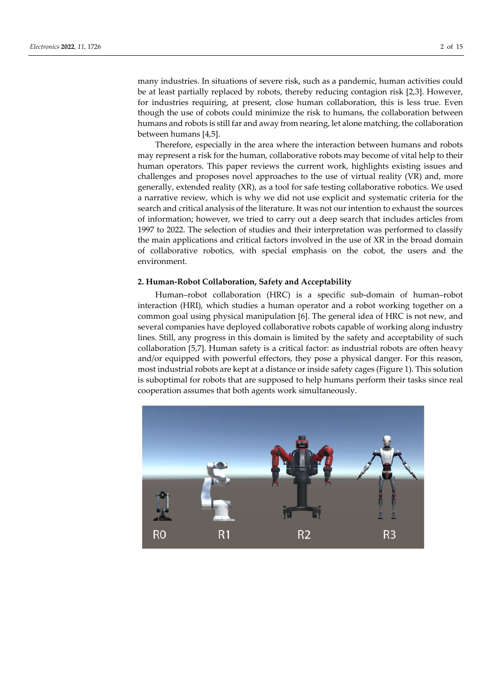many industries. In situations of severe risk, such as a pandemic, human activities could be at least partially replaced by robots, thereby reducing contagion risk [2,3]. However, for industries requiring, at present, close human collaboration, this is less true. Even though the use of cobots could minimize the risk to humans, the collaboration between humans and robots is still far and away from nearing, let alone matching, the collaboration between humans [4,5].

Therefore, especially in the area where the interaction between humans and robots may represent a risk for the human, collaborative robots may become of vital help to their human operators. This paper reviews the current work, highlights existing issues and challenges and proposes novel approaches to the use of virtual reality (VR) and, more generally, extended reality (XR), as a tool for safe testing collaborative robotics. We used a narrative review, which is why we did not use explicit and systematic criteria for the search and critical analysis of the literature. It was not our intention to exhaust the sources of information; however, we tried to carry out a deep search that includes articles from 1997 to 2022. The selection of studies and their interpretation was performed to classify the main applications and critical factors involved in the use of XR in the broad domain of collaborative robotics, with special emphasis on the cobot, the users and the environment.

#### **2. Human-Robot Collaboration, Safety and Acceptability**

Human–robot collaboration (HRC) is a specific sub-domain of human–robot interaction (HRI), which studies a human operator and a robot working together on a common goal using physical manipulation [6]. The general idea of HRC is not new, and several companies have deployed collaborative robots capable of working along industry lines. Still, any progress in this domain is limited by the safety and acceptability of such collaboration [5,7]. Human safety is a critical factor: as industrial robots are often heavy and/or equipped with powerful effectors, they pose a physical danger. For this reason, most industrial robots are kept at a distance or inside safety cages (Figure 1). This solution is suboptimal for robots that are supposed to help humans perform their tasks since real cooperation assumes that both agents work simultaneously.

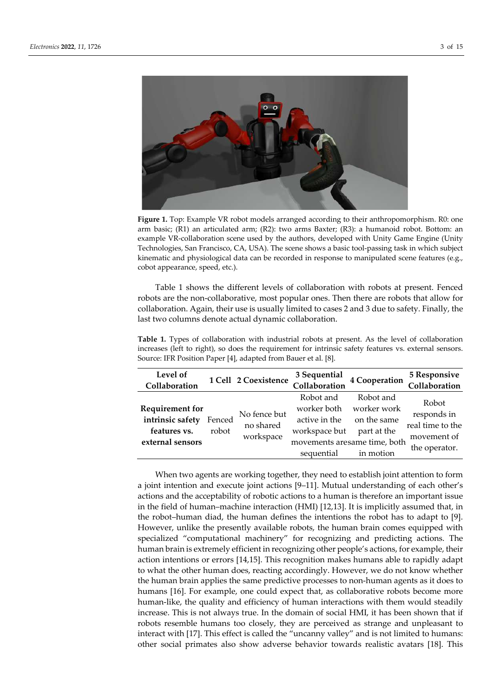

**Figure 1.** Top: Example VR robot models arranged according to their anthropomorphism. R0: one arm basic; (R1) an articulated arm; (R2): two arms Baxter; (R3): a humanoid robot. Bottom: an example VR-collaboration scene used by the authors, developed with Unity Game Engine (Unity Technologies, San Francisco, CA, USA). The scene shows a basic tool-passing task in which subject kinematic and physiological data can be recorded in response to manipulated scene features (e.g., cobot appearance, speed, etc.).

Table 1 shows the different levels of collaboration with robots at present. Fenced robots are the non-collaborative, most popular ones. Then there are robots that allow for collaboration. Again, their use is usually limited to cases 2 and 3 due to safety. Finally, the last two columns denote actual dynamic collaboration.

**Table 1.** Types of collaboration with industrial robots at present. As the level of collaboration increases (left to right), so does the requirement for intrinsic safety features vs. external sensors. Source: IFR Position Paper [4], adapted from Bauer et al. [8].

| Level of<br>Collaboration                                                      |                 | 1 Cell 2 Coexistence                   | 3 Sequential<br>Collaboration                                            | 4 Cooperation                                                                                       | <b>5 Responsive</b><br>Collaboration                                     |
|--------------------------------------------------------------------------------|-----------------|----------------------------------------|--------------------------------------------------------------------------|-----------------------------------------------------------------------------------------------------|--------------------------------------------------------------------------|
| <b>Requirement for</b><br>intrinsic safety<br>features vs.<br>external sensors | Fenced<br>robot | No fence but<br>no shared<br>workspace | Robot and<br>worker both<br>active in the<br>workspace but<br>sequential | Robot and<br>worker work<br>on the same<br>part at the<br>movements aresame time, both<br>in motion | Robot<br>responds in<br>real time to the<br>movement of<br>the operator. |

When two agents are working together, they need to establish joint attention to form a joint intention and execute joint actions [9–11]. Mutual understanding of each other's actions and the acceptability of robotic actions to a human is therefore an important issue in the field of human–machine interaction (HMI) [12,13]. It is implicitly assumed that, in the robot–human diad, the human defines the intentions the robot has to adapt to [9]. However, unlike the presently available robots, the human brain comes equipped with specialized "computational machinery" for recognizing and predicting actions. The human brain is extremely efficient in recognizing other people's actions, for example, their action intentions or errors [14,15]. This recognition makes humans able to rapidly adapt to what the other human does, reacting accordingly. However, we do not know whether the human brain applies the same predictive processes to non-human agents as it does to humans [16]. For example, one could expect that, as collaborative robots become more human-like, the quality and efficiency of human interactions with them would steadily increase. This is not always true. In the domain of social HMI, it has been shown that if robots resemble humans too closely, they are perceived as strange and unpleasant to interact with [17]. This effect is called the "uncanny valley" and is not limited to humans: other social primates also show adverse behavior towards realistic avatars [18]. This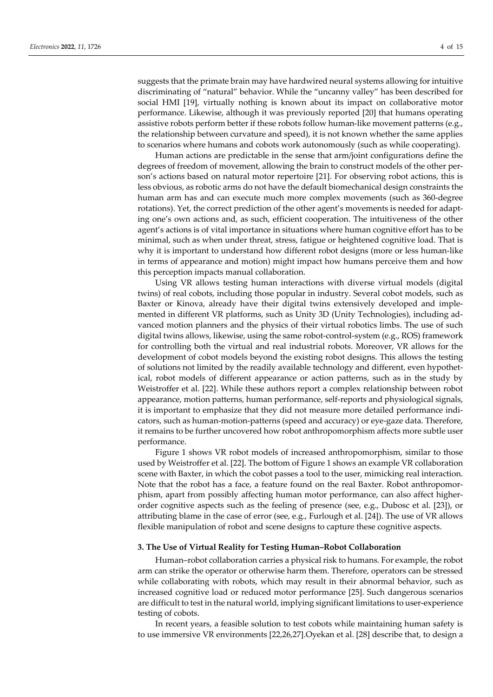suggests that the primate brain may have hardwired neural systems allowing for intuitive discriminating of "natural" behavior. While the "uncanny valley" has been described for social HMI [19], virtually nothing is known about its impact on collaborative motor performance. Likewise, although it was previously reported [20] that humans operating assistive robots perform better if these robots follow human-like movement patterns (e.g., the relationship between curvature and speed), it is not known whether the same applies to scenarios where humans and cobots work autonomously (such as while cooperating).

Human actions are predictable in the sense that arm/joint configurations define the degrees of freedom of movement, allowing the brain to construct models of the other person's actions based on natural motor repertoire [21]. For observing robot actions, this is less obvious, as robotic arms do not have the default biomechanical design constraints the human arm has and can execute much more complex movements (such as 360-degree rotations). Yet, the correct prediction of the other agent's movements is needed for adapting one's own actions and, as such, efficient cooperation. The intuitiveness of the other agent's actions is of vital importance in situations where human cognitive effort has to be minimal, such as when under threat, stress, fatigue or heightened cognitive load. That is why it is important to understand how different robot designs (more or less human-like in terms of appearance and motion) might impact how humans perceive them and how this perception impacts manual collaboration.

Using VR allows testing human interactions with diverse virtual models (digital twins) of real cobots, including those popular in industry. Several cobot models, such as Baxter or Kinova, already have their digital twins extensively developed and implemented in different VR platforms, such as Unity 3D (Unity Technologies), including advanced motion planners and the physics of their virtual robotics limbs. The use of such digital twins allows, likewise, using the same robot-control-system (e.g., ROS) framework for controlling both the virtual and real industrial robots. Moreover, VR allows for the development of cobot models beyond the existing robot designs. This allows the testing of solutions not limited by the readily available technology and different, even hypothetical, robot models of different appearance or action patterns, such as in the study by Weistroffer et al. [22]. While these authors report a complex relationship between robot appearance, motion patterns, human performance, self-reports and physiological signals, it is important to emphasize that they did not measure more detailed performance indicators, such as human-motion-patterns (speed and accuracy) or eye-gaze data. Therefore, it remains to be further uncovered how robot anthropomorphism affects more subtle user performance.

Figure 1 shows VR robot models of increased anthropomorphism, similar to those used by Weistroffer et al. [22]. The bottom of Figure 1 shows an example VR collaboration scene with Baxter, in which the cobot passes a tool to the user, mimicking real interaction. Note that the robot has a face, a feature found on the real Baxter. Robot anthropomorphism, apart from possibly affecting human motor performance, can also affect higherorder cognitive aspects such as the feeling of presence (see, e.g., Dubosc et al. [23]), or attributing blame in the case of error (see, e.g., Furlough et al. [24]). The use of VR allows flexible manipulation of robot and scene designs to capture these cognitive aspects.

## **3. The Use of Virtual Reality for Testing Human–Robot Collaboration**

Human–robot collaboration carries a physical risk to humans. For example, the robot arm can strike the operator or otherwise harm them. Therefore, operators can be stressed while collaborating with robots, which may result in their abnormal behavior, such as increased cognitive load or reduced motor performance [25]. Such dangerous scenarios are difficult to test in the natural world, implying significant limitations to user-experience testing of cobots.

In recent years, a feasible solution to test cobots while maintaining human safety is to use immersive VR environments [22,26,27].Oyekan et al. [28] describe that, to design a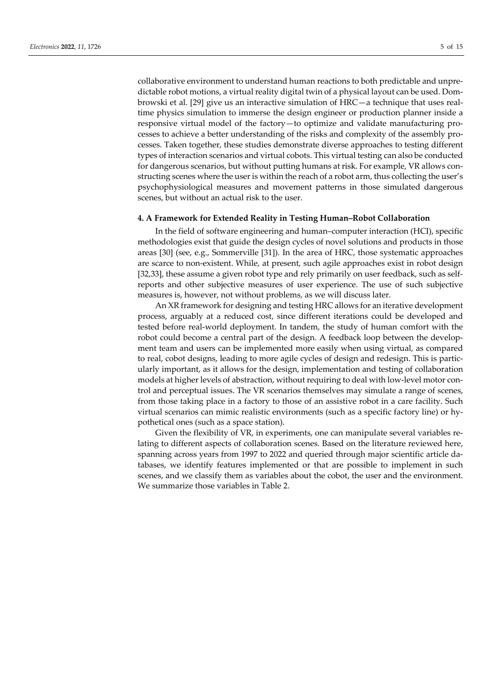collaborative environment to understand human reactions to both predictable and unpredictable robot motions, a virtual reality digital twin of a physical layout can be used. Dombrowski et al. [29] give us an interactive simulation of HRC—a technique that uses realtime physics simulation to immerse the design engineer or production planner inside a responsive virtual model of the factory—to optimize and validate manufacturing processes to achieve a better understanding of the risks and complexity of the assembly processes. Taken together, these studies demonstrate diverse approaches to testing different types of interaction scenarios and virtual cobots. This virtual testing can also be conducted for dangerous scenarios, but without putting humans at risk. For example, VR allows constructing scenes where the user is within the reach of a robot arm, thus collecting the user's psychophysiological measures and movement patterns in those simulated dangerous scenes, but without an actual risk to the user.

#### **4. A Framework for Extended Reality in Testing Human–Robot Collaboration**

In the field of software engineering and human–computer interaction (HCI), specific methodologies exist that guide the design cycles of novel solutions and products in those areas [30] (see, e.g., Sommerville [31]). In the area of HRC, those systematic approaches are scarce to non-existent. While, at present, such agile approaches exist in robot design [32,33], these assume a given robot type and rely primarily on user feedback, such as selfreports and other subjective measures of user experience. The use of such subjective measures is, however, not without problems, as we will discuss later.

An XR framework for designing and testing HRC allows for an iterative development process, arguably at a reduced cost, since different iterations could be developed and tested before real-world deployment. In tandem, the study of human comfort with the robot could become a central part of the design. A feedback loop between the development team and users can be implemented more easily when using virtual, as compared to real, cobot designs, leading to more agile cycles of design and redesign. This is particularly important, as it allows for the design, implementation and testing of collaboration models at higher levels of abstraction, without requiring to deal with low-level motor control and perceptual issues. The VR scenarios themselves may simulate a range of scenes, from those taking place in a factory to those of an assistive robot in a care facility. Such virtual scenarios can mimic realistic environments (such as a specific factory line) or hypothetical ones (such as a space station).

Given the flexibility of VR, in experiments, one can manipulate several variables relating to different aspects of collaboration scenes. Based on the literature reviewed here, spanning across years from 1997 to 2022 and queried through major scientific article databases, we identify features implemented or that are possible to implement in such scenes, and we classify them as variables about the cobot, the user and the environment. We summarize those variables in Table 2.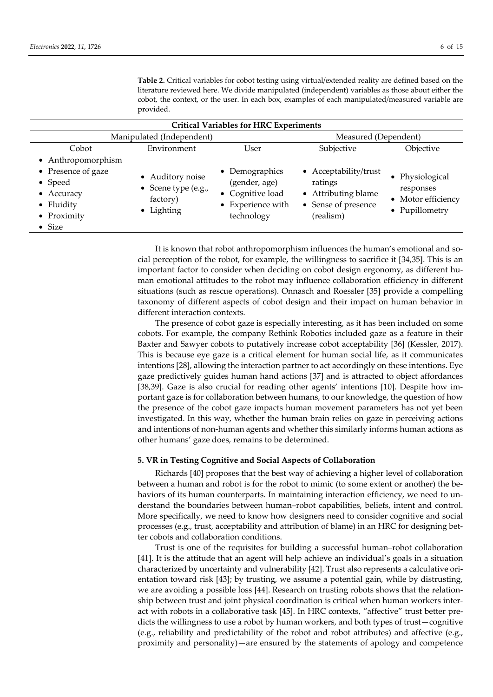| <b>Critical Variables for HRC Experiments</b>                                                                    |                                                                   |                                                                                        |                                                                                             |                                                                      |  |  |
|------------------------------------------------------------------------------------------------------------------|-------------------------------------------------------------------|----------------------------------------------------------------------------------------|---------------------------------------------------------------------------------------------|----------------------------------------------------------------------|--|--|
| Manipulated (Independent)                                                                                        |                                                                   |                                                                                        | Measured (Dependent)                                                                        |                                                                      |  |  |
| Cobot                                                                                                            | Environment                                                       | User                                                                                   | Subjective                                                                                  | Objective                                                            |  |  |
| • Anthropomorphism<br>• Presence of gaze<br>• Speed<br>• Accuracy<br>• Fluidity<br>• Proximity<br>$\bullet$ Size | • Auditory noise<br>• Scene type (e.g.,<br>factory)<br>• Lighting | • Demographics<br>(gender, age)<br>• Cognitive load<br>• Experience with<br>technology | • Acceptability/trust<br>ratings<br>• Attributing blame<br>• Sense of presence<br>(realism) | • Physiological<br>responses<br>• Motor efficiency<br>• Pupillometry |  |  |

**Table 2.** Critical variables for cobot testing using virtual/extended reality are defined based on the literature reviewed here. We divide manipulated (independent) variables as those about either the cobot, the context, or the user. In each box, examples of each manipulated/measured variable are provided.

It is known that robot anthropomorphism influences the human's emotional and social perception of the robot, for example, the willingness to sacrifice it [34,35]. This is an important factor to consider when deciding on cobot design ergonomy, as different human emotional attitudes to the robot may influence collaboration efficiency in different situations (such as rescue operations). Onnasch and Roessler [35] provide a compelling taxonomy of different aspects of cobot design and their impact on human behavior in different interaction contexts.

The presence of cobot gaze is especially interesting, as it has been included on some cobots. For example, the company Rethink Robotics included gaze as a feature in their Baxter and Sawyer cobots to putatively increase cobot acceptability [36] (Kessler, 2017). This is because eye gaze is a critical element for human social life, as it communicates intentions [28], allowing the interaction partner to act accordingly on these intentions. Eye gaze predictively guides human hand actions [37] and is attracted to object affordances [38,39]. Gaze is also crucial for reading other agents' intentions [10]. Despite how important gaze is for collaboration between humans, to our knowledge, the question of how the presence of the cobot gaze impacts human movement parameters has not yet been investigated. In this way, whether the human brain relies on gaze in perceiving actions and intentions of non-human agents and whether this similarly informs human actions as other humans' gaze does, remains to be determined.

#### **5. VR in Testing Cognitive and Social Aspects of Collaboration**

Richards [40] proposes that the best way of achieving a higher level of collaboration between a human and robot is for the robot to mimic (to some extent or another) the behaviors of its human counterparts. In maintaining interaction efficiency, we need to understand the boundaries between human–robot capabilities, beliefs, intent and control. More specifically, we need to know how designers need to consider cognitive and social processes (e.g., trust, acceptability and attribution of blame) in an HRC for designing better cobots and collaboration conditions.

Trust is one of the requisites for building a successful human–robot collaboration [41]. It is the attitude that an agent will help achieve an individual's goals in a situation characterized by uncertainty and vulnerability [42]. Trust also represents a calculative orientation toward risk [43]; by trusting, we assume a potential gain, while by distrusting, we are avoiding a possible loss [44]. Research on trusting robots shows that the relationship between trust and joint physical coordination is critical when human workers interact with robots in a collaborative task [45]. In HRC contexts, "affective" trust better predicts the willingness to use a robot by human workers, and both types of trust—cognitive (e.g., reliability and predictability of the robot and robot attributes) and affective (e.g., proximity and personality)—are ensured by the statements of apology and competence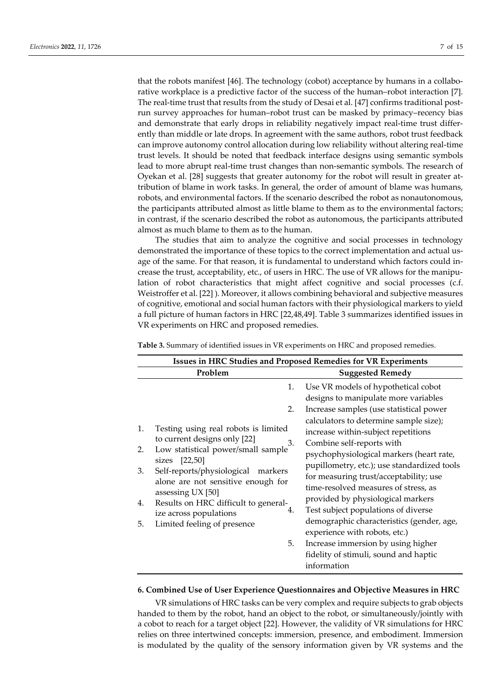that the robots manifest [46]. The technology (cobot) acceptance by humans in a collaborative workplace is a predictive factor of the success of the human–robot interaction [7]. The real-time trust that results from the study of Desai et al. [47] confirms traditional postrun survey approaches for human–robot trust can be masked by primacy–recency bias and demonstrate that early drops in reliability negatively impact real-time trust differently than middle or late drops. In agreement with the same authors, robot trust feedback can improve autonomy control allocation during low reliability without altering real-time trust levels. It should be noted that feedback interface designs using semantic symbols lead to more abrupt real-time trust changes than non-semantic symbols. The research of Oyekan et al. [28] suggests that greater autonomy for the robot will result in greater attribution of blame in work tasks. In general, the order of amount of blame was humans, robots, and environmental factors. If the scenario described the robot as nonautonomous, the participants attributed almost as little blame to them as to the environmental factors; in contrast, if the scenario described the robot as autonomous, the participants attributed almost as much blame to them as to the human.

The studies that aim to analyze the cognitive and social processes in technology demonstrated the importance of these topics to the correct implementation and actual usage of the same. For that reason, it is fundamental to understand which factors could increase the trust, acceptability, etc., of users in HRC. The use of VR allows for the manipulation of robot characteristics that might affect cognitive and social processes (c.f. Weistroffer et al. [22] ). Moreover, it allows combining behavioral and subjective measures of cognitive, emotional and social human factors with their physiological markers to yield a full picture of human factors in HRC [22,48,49]. Table 3 summarizes identified issues in VR experiments on HRC and proposed remedies.

| <b>Issues in HRC Studies and Proposed Remedies for VR Experiments</b>                                                                                                                                                                                                                                                                                          |                                                                                                                                                                                                                                                                                                                                                                                                                                                                                                                                                                                                                                                                                                         |  |  |  |  |
|----------------------------------------------------------------------------------------------------------------------------------------------------------------------------------------------------------------------------------------------------------------------------------------------------------------------------------------------------------------|---------------------------------------------------------------------------------------------------------------------------------------------------------------------------------------------------------------------------------------------------------------------------------------------------------------------------------------------------------------------------------------------------------------------------------------------------------------------------------------------------------------------------------------------------------------------------------------------------------------------------------------------------------------------------------------------------------|--|--|--|--|
| Problem                                                                                                                                                                                                                                                                                                                                                        | <b>Suggested Remedy</b>                                                                                                                                                                                                                                                                                                                                                                                                                                                                                                                                                                                                                                                                                 |  |  |  |  |
| 1.<br>Testing using real robots is limited<br>to current designs only [22]<br>Low statistical power/small sample<br>2.<br>sizes [22,50]<br>Self-reports/physiological<br>3.<br>markers<br>alone are not sensitive enough for<br>assessing UX [50]<br>Results on HRC difficult to general-<br>4.<br>ize across populations<br>Limited feeling of presence<br>5. | 1.<br>Use VR models of hypothetical cobot<br>designs to manipulate more variables<br>2.<br>Increase samples (use statistical power<br>calculators to determine sample size);<br>increase within-subject repetitions<br>3.<br>Combine self-reports with<br>psychophysiological markers (heart rate,<br>pupillometry, etc.); use standardized tools<br>for measuring trust/acceptability; use<br>time-resolved measures of stress, as<br>provided by physiological markers<br>Test subject populations of diverse<br>4.<br>demographic characteristics (gender, age,<br>experience with robots, etc.)<br>5.<br>Increase immersion by using higher<br>fidelity of stimuli, sound and haptic<br>information |  |  |  |  |

**Table 3.** Summary of identified issues in VR experiments on HRC and proposed remedies.

#### **6. Combined Use of User Experience Questionnaires and Objective Measures in HRC**

VR simulations of HRC tasks can be very complex and require subjects to grab objects handed to them by the robot, hand an object to the robot, or simultaneously/jointly with a cobot to reach for a target object [22]. However, the validity of VR simulations for HRC relies on three intertwined concepts: immersion, presence, and embodiment. Immersion is modulated by the quality of the sensory information given by VR systems and the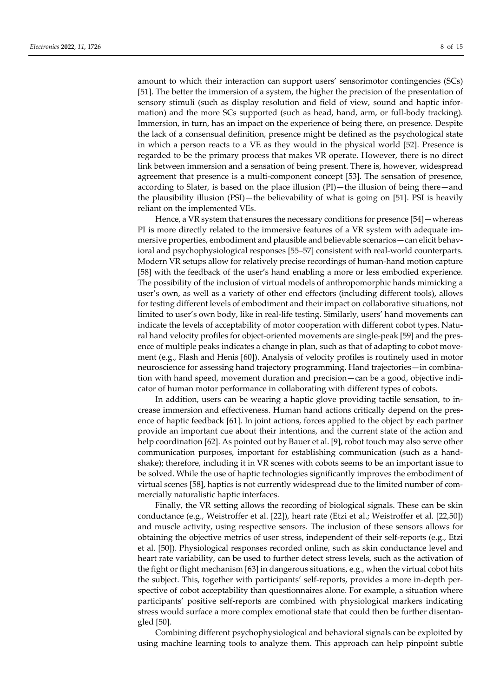amount to which their interaction can support users' sensorimotor contingencies (SCs) [51]. The better the immersion of a system, the higher the precision of the presentation of sensory stimuli (such as display resolution and field of view, sound and haptic information) and the more SCs supported (such as head, hand, arm, or full-body tracking). Immersion, in turn, has an impact on the experience of being there, on presence. Despite the lack of a consensual definition, presence might be defined as the psychological state in which a person reacts to a VE as they would in the physical world [52]. Presence is regarded to be the primary process that makes VR operate. However, there is no direct link between immersion and a sensation of being present. There is, however, widespread agreement that presence is a multi-component concept [53]. The sensation of presence, according to Slater, is based on the place illusion (PI)—the illusion of being there—and the plausibility illusion (PSI)—the believability of what is going on [51]. PSI is heavily reliant on the implemented VEs.

Hence, a VR system that ensures the necessary conditions for presence [54]—whereas PI is more directly related to the immersive features of a VR system with adequate immersive properties, embodiment and plausible and believable scenarios—can elicit behavioral and psychophysiological responses [55–57] consistent with real-world counterparts. Modern VR setups allow for relatively precise recordings of human-hand motion capture [58] with the feedback of the user's hand enabling a more or less embodied experience. The possibility of the inclusion of virtual models of anthropomorphic hands mimicking a user's own, as well as a variety of other end effectors (including different tools), allows for testing different levels of embodiment and their impact on collaborative situations, not limited to user's own body, like in real-life testing. Similarly, users' hand movements can indicate the levels of acceptability of motor cooperation with different cobot types. Natural hand velocity profiles for object-oriented movements are single-peak [59] and the presence of multiple peaks indicates a change in plan, such as that of adapting to cobot movement (e.g., Flash and Henis [60]). Analysis of velocity profiles is routinely used in motor neuroscience for assessing hand trajectory programming. Hand trajectories—in combination with hand speed, movement duration and precision—can be a good, objective indicator of human motor performance in collaborating with different types of cobots.

In addition, users can be wearing a haptic glove providing tactile sensation, to increase immersion and effectiveness. Human hand actions critically depend on the presence of haptic feedback [61]. In joint actions, forces applied to the object by each partner provide an important cue about their intentions, and the current state of the action and help coordination [62]. As pointed out by Bauer et al. [9], robot touch may also serve other communication purposes, important for establishing communication (such as a handshake); therefore, including it in VR scenes with cobots seems to be an important issue to be solved. While the use of haptic technologies significantly improves the embodiment of virtual scenes [58], haptics is not currently widespread due to the limited number of commercially naturalistic haptic interfaces.

Finally, the VR setting allows the recording of biological signals. These can be skin conductance (e.g., Weistroffer et al. [22]), heart rate (Etzi et al.; Weistroffer et al. [22,50]) and muscle activity, using respective sensors. The inclusion of these sensors allows for obtaining the objective metrics of user stress, independent of their self-reports (e.g., Etzi et al. [50]). Physiological responses recorded online, such as skin conductance level and heart rate variability, can be used to further detect stress levels, such as the activation of the fight or flight mechanism [63] in dangerous situations, e.g., when the virtual cobot hits the subject. This, together with participants' self-reports, provides a more in-depth perspective of cobot acceptability than questionnaires alone. For example, a situation where participants' positive self-reports are combined with physiological markers indicating stress would surface a more complex emotional state that could then be further disentangled [50].

Combining different psychophysiological and behavioral signals can be exploited by using machine learning tools to analyze them. This approach can help pinpoint subtle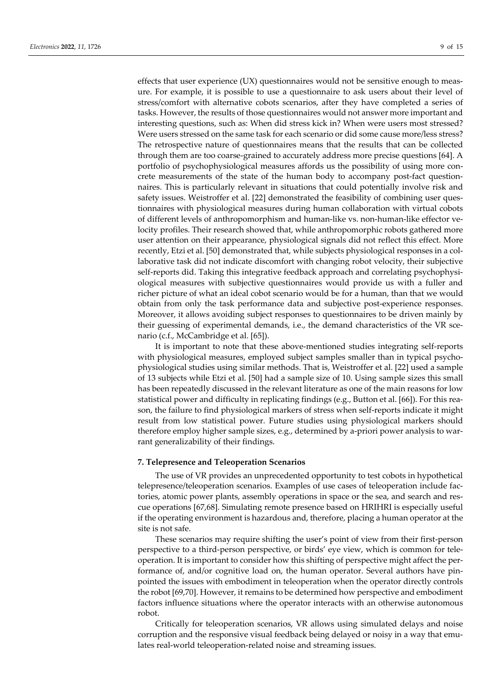effects that user experience (UX) questionnaires would not be sensitive enough to measure. For example, it is possible to use a questionnaire to ask users about their level of stress/comfort with alternative cobots scenarios, after they have completed a series of tasks. However, the results of those questionnaires would not answer more important and interesting questions, such as: When did stress kick in? When were users most stressed? Were users stressed on the same task for each scenario or did some cause more/less stress? The retrospective nature of questionnaires means that the results that can be collected through them are too coarse-grained to accurately address more precise questions [64]. A portfolio of psychophysiological measures affords us the possibility of using more concrete measurements of the state of the human body to accompany post-fact questionnaires. This is particularly relevant in situations that could potentially involve risk and safety issues. Weistroffer et al. [22] demonstrated the feasibility of combining user questionnaires with physiological measures during human collaboration with virtual cobots of different levels of anthropomorphism and human-like vs. non-human-like effector velocity profiles. Their research showed that, while anthropomorphic robots gathered more user attention on their appearance, physiological signals did not reflect this effect. More recently, Etzi et al. [50] demonstrated that, while subjects physiological responses in a collaborative task did not indicate discomfort with changing robot velocity, their subjective self-reports did. Taking this integrative feedback approach and correlating psychophysiological measures with subjective questionnaires would provide us with a fuller and richer picture of what an ideal cobot scenario would be for a human, than that we would obtain from only the task performance data and subjective post-experience responses. Moreover, it allows avoiding subject responses to questionnaires to be driven mainly by their guessing of experimental demands, i.e., the demand characteristics of the VR scenario (c.f., McCambridge et al. [65]).

It is important to note that these above-mentioned studies integrating self-reports with physiological measures, employed subject samples smaller than in typical psychophysiological studies using similar methods. That is, Weistroffer et al. [22] used a sample of 13 subjects while Etzi et al. [50] had a sample size of 10. Using sample sizes this small has been repeatedly discussed in the relevant literature as one of the main reasons for low statistical power and difficulty in replicating findings (e.g., Button et al. [66]). For this reason, the failure to find physiological markers of stress when self-reports indicate it might result from low statistical power. Future studies using physiological markers should therefore employ higher sample sizes, e.g., determined by a-priori power analysis to warrant generalizability of their findings.

## **7. Telepresence and Teleoperation Scenarios**

The use of VR provides an unprecedented opportunity to test cobots in hypothetical telepresence/teleoperation scenarios. Examples of use cases of teleoperation include factories, atomic power plants, assembly operations in space or the sea, and search and rescue operations [67,68]. Simulating remote presence based on HRIHRI is especially useful if the operating environment is hazardous and, therefore, placing a human operator at the site is not safe.

These scenarios may require shifting the user's point of view from their first-person perspective to a third-person perspective, or birds' eye view, which is common for teleoperation. It is important to consider how this shifting of perspective might affect the performance of, and/or cognitive load on, the human operator. Several authors have pinpointed the issues with embodiment in teleoperation when the operator directly controls the robot [69,70]. However, it remains to be determined how perspective and embodiment factors influence situations where the operator interacts with an otherwise autonomous robot.

Critically for teleoperation scenarios, VR allows using simulated delays and noise corruption and the responsive visual feedback being delayed or noisy in a way that emulates real-world teleoperation-related noise and streaming issues.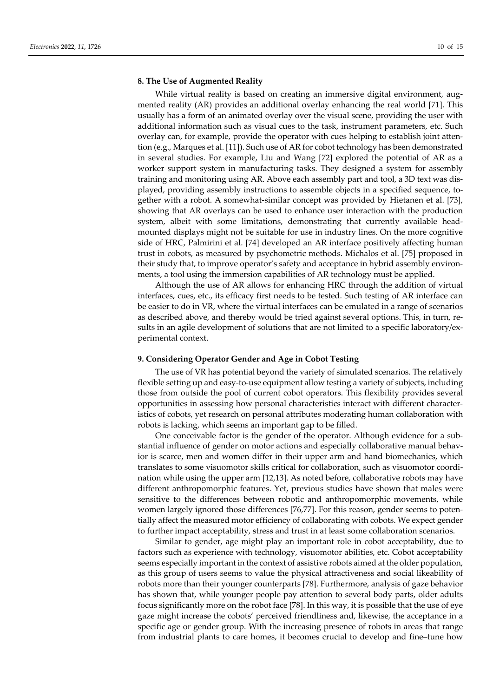### **8. The Use of Augmented Reality**

While virtual reality is based on creating an immersive digital environment, augmented reality (AR) provides an additional overlay enhancing the real world [71]. This usually has a form of an animated overlay over the visual scene, providing the user with additional information such as visual cues to the task, instrument parameters, etc. Such overlay can, for example, provide the operator with cues helping to establish joint attention (e.g., Marques et al. [11]). Such use of AR for cobot technology has been demonstrated in several studies. For example, Liu and Wang [72] explored the potential of AR as a worker support system in manufacturing tasks. They designed a system for assembly training and monitoring using AR. Above each assembly part and tool, a 3D text was displayed, providing assembly instructions to assemble objects in a specified sequence, together with a robot. A somewhat-similar concept was provided by Hietanen et al. [73], showing that AR overlays can be used to enhance user interaction with the production system, albeit with some limitations, demonstrating that currently available headmounted displays might not be suitable for use in industry lines. On the more cognitive side of HRC, Palmirini et al. [74] developed an AR interface positively affecting human trust in cobots, as measured by psychometric methods. Michalos et al. [75] proposed in their study that, to improve operator's safety and acceptance in hybrid assembly environments, a tool using the immersion capabilities of AR technology must be applied.

Although the use of AR allows for enhancing HRC through the addition of virtual interfaces, cues, etc., its efficacy first needs to be tested. Such testing of AR interface can be easier to do in VR, where the virtual interfaces can be emulated in a range of scenarios as described above, and thereby would be tried against several options. This, in turn, results in an agile development of solutions that are not limited to a specific laboratory/experimental context.

### **9. Considering Operator Gender and Age in Cobot Testing**

The use of VR has potential beyond the variety of simulated scenarios. The relatively flexible setting up and easy-to-use equipment allow testing a variety of subjects, including those from outside the pool of current cobot operators. This flexibility provides several opportunities in assessing how personal characteristics interact with different characteristics of cobots, yet research on personal attributes moderating human collaboration with robots is lacking, which seems an important gap to be filled.

One conceivable factor is the gender of the operator. Although evidence for a substantial influence of gender on motor actions and especially collaborative manual behavior is scarce, men and women differ in their upper arm and hand biomechanics, which translates to some visuomotor skills critical for collaboration, such as visuomotor coordination while using the upper arm [12,13]. As noted before, collaborative robots may have different anthropomorphic features. Yet, previous studies have shown that males were sensitive to the differences between robotic and anthropomorphic movements, while women largely ignored those differences [76,77]. For this reason, gender seems to potentially affect the measured motor efficiency of collaborating with cobots. We expect gender to further impact acceptability, stress and trust in at least some collaboration scenarios.

Similar to gender, age might play an important role in cobot acceptability, due to factors such as experience with technology, visuomotor abilities, etc. Cobot acceptability seems especially important in the context of assistive robots aimed at the older population, as this group of users seems to value the physical attractiveness and social likeability of robots more than their younger counterparts [78]. Furthermore, analysis of gaze behavior has shown that, while younger people pay attention to several body parts, older adults focus significantly more on the robot face [78]. In this way, it is possible that the use of eye gaze might increase the cobots' perceived friendliness and, likewise, the acceptance in a specific age or gender group. With the increasing presence of robots in areas that range from industrial plants to care homes, it becomes crucial to develop and fine–tune how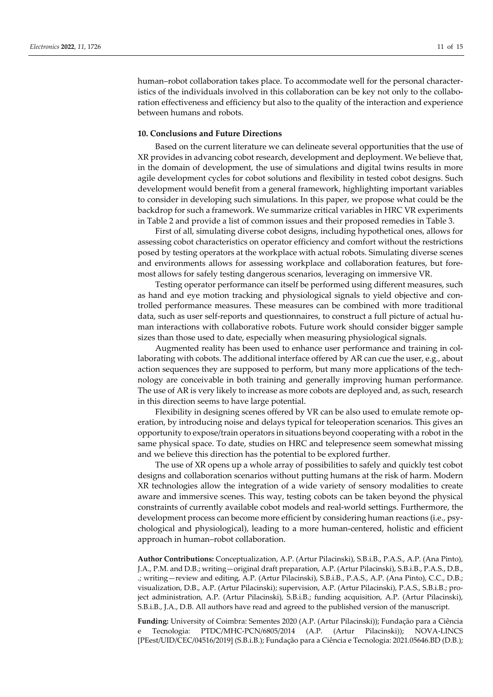human–robot collaboration takes place. To accommodate well for the personal characteristics of the individuals involved in this collaboration can be key not only to the collaboration effectiveness and efficiency but also to the quality of the interaction and experience between humans and robots.

## **10. Conclusions and Future Directions**

Based on the current literature we can delineate several opportunities that the use of XR provides in advancing cobot research, development and deployment. We believe that, in the domain of development, the use of simulations and digital twins results in more agile development cycles for cobot solutions and flexibility in tested cobot designs. Such development would benefit from a general framework, highlighting important variables to consider in developing such simulations. In this paper, we propose what could be the backdrop for such a framework. We summarize critical variables in HRC VR experiments in Table 2 and provide a list of common issues and their proposed remedies in Table 3.

First of all, simulating diverse cobot designs, including hypothetical ones, allows for assessing cobot characteristics on operator efficiency and comfort without the restrictions posed by testing operators at the workplace with actual robots. Simulating diverse scenes and environments allows for assessing workplace and collaboration features, but foremost allows for safely testing dangerous scenarios, leveraging on immersive VR.

Testing operator performance can itself be performed using different measures, such as hand and eye motion tracking and physiological signals to yield objective and controlled performance measures. These measures can be combined with more traditional data, such as user self-reports and questionnaires, to construct a full picture of actual human interactions with collaborative robots. Future work should consider bigger sample sizes than those used to date, especially when measuring physiological signals.

Augmented reality has been used to enhance user performance and training in collaborating with cobots. The additional interface offered by AR can cue the user, e.g., about action sequences they are supposed to perform, but many more applications of the technology are conceivable in both training and generally improving human performance. The use of AR is very likely to increase as more cobots are deployed and, as such, research in this direction seems to have large potential.

Flexibility in designing scenes offered by VR can be also used to emulate remote operation, by introducing noise and delays typical for teleoperation scenarios. This gives an opportunity to expose/train operators in situations beyond cooperating with a robot in the same physical space. To date, studies on HRC and telepresence seem somewhat missing and we believe this direction has the potential to be explored further.

The use of XR opens up a whole array of possibilities to safely and quickly test cobot designs and collaboration scenarios without putting humans at the risk of harm. Modern XR technologies allow the integration of a wide variety of sensory modalities to create aware and immersive scenes. This way, testing cobots can be taken beyond the physical constraints of currently available cobot models and real-world settings. Furthermore, the development process can become more efficient by considering human reactions (i.e., psychological and physiological), leading to a more human-centered, holistic and efficient approach in human–robot collaboration.

**Author Contributions:** Conceptualization, A.P. (Artur Pilacinski), S.B.i.B., P.A.S., A.P. (Ana Pinto), J.A., P.M. and D.B.; writing—original draft preparation, A.P. (Artur Pilacinski), S.B.i.B., P.A.S., D.B., .; writing—review and editing, A.P. (Artur Pilacinski), S.B.i.B., P.A.S., A.P. (Ana Pinto), C.C., D.B.; visualization, D.B., A.P. (Artur Pilacinski); supervision, A.P. (Artur Pilacinski), P.A.S., S.B.i.B.; project administration, A.P. (Artur Pilacinski), S.B.i.B.; funding acquisition, A.P. (Artur Pilacinski), S.B.i.B., J.A., D.B. All authors have read and agreed to the published version of the manuscript.

**Funding:** University of Coimbra: Sementes 2020 (A.P. (Artur Pilacinski)); Fundação para a Ciência Tecnologia: PTDC/MHC-PCN/6805/2014 (A.P. (Artur Pilacinski)); NOVA-LINCS [PEest/UID/CEC/04516/2019] (S.B.i.B.); Fundação para a Ciência e Tecnologia: 2021.05646.BD (D.B.);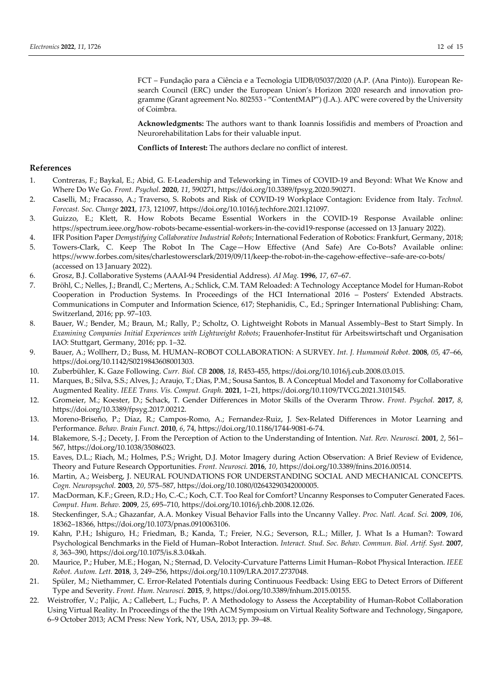FCT – Fundação para a Ciência e a Tecnologia UIDB/05037/2020 (A.P. (Ana Pinto)). European Research Council (ERC) under the European Union's Horizon 2020 research and innovation programme (Grant agreement No. 802553 - "ContentMAP") (J.A.). APC were covered by the University of Coimbra.

**Acknowledgments:** The authors want to thank Ioannis Iossifidis and members of Proaction and Neurorehabilitation Labs for their valuable input.

**Conflicts of Interest:** The authors declare no conflict of interest.

## **References**

- 1. Contreras, F.; Baykal, E.; Abid, G. E-Leadership and Teleworking in Times of COVID-19 and Beyond: What We Know and Where Do We Go. *Front. Psychol.* **2020**, *11*, 590271, https://doi.org/10.3389/fpsyg.2020.590271.
- 2. Caselli, M.; Fracasso, A.; Traverso, S. Robots and Risk of COVID-19 Workplace Contagion: Evidence from Italy. *Technol. Forecast. Soc. Change* **2021**, *173*, 121097, https://doi.org/10.1016/j.techfore.2021.121097.
- 3. Guizzo, E.; Klett, R. How Robots Became Essential Workers in the COVID-19 Response Available online: https://spectrum.ieee.org/how-robots-became-essential-workers-in-the-covid19-response (accessed on 13 January 2022).
- 4. IFR Position Paper *Demystifying Collaborative Industrial Robots*; International Federation of Robotics: Frankfurt, Germany, 2018;
- 5. Towers-Clark, C. Keep The Robot In The Cage—How Effective (And Safe) Are Co-Bots? Available online: https://www.forbes.com/sites/charlestowersclark/2019/09/11/keep-the-robot-in-the-cagehow-effective--safe-are-co-bots/ (accessed on 13 January 2022).
- 6. Grosz, B.J. Collaborative Systems (AAAI-94 Presidential Address). *AI Mag.* **1996**, *17*, 67–67.
- 7. Bröhl, C.; Nelles, J.; Brandl, C.; Mertens, A.; Schlick, C.M. TAM Reloaded: A Technology Acceptance Model for Human-Robot Cooperation in Production Systems. In Proceedings of the HCI International 2016 – Posters' Extended Abstracts. Communications in Computer and Information Science, 617; Stephanidis, C., Ed.; Springer International Publishing: Cham, Switzerland, 2016; pp. 97–103.
- 8. Bauer, W.; Bender, M.; Braun, M.; Rally, P.; Scholtz, O. Lightweight Robots in Manual Assembly–Best to Start Simply. In *Examining Companies Initial Experiences with Lightweight Robots*; Frauenhofer-Institut für Arbeitswirtschaft und Organisation IAO: Stuttgart, Germany, 2016; pp. 1–32.
- 9. Bauer, A.; Wollherr, D.; Buss, M. HUMAN–ROBOT COLLABORATION: A SURVEY. *Int. J. Humanoid Robot.* **2008**, *05*, 47–66, https://doi.org/10.1142/S0219843608001303.
- 10. Zuberbühler, K. Gaze Following. *Curr. Biol. CB* **2008**, *18*, R453-455, https://doi.org/10.1016/j.cub.2008.03.015.
- 11. Marques, B.; Silva, S.S.; Alves, J.; Araujo, T.; Dias, P.M.; Sousa Santos, B. A Conceptual Model and Taxonomy for Collaborative Augmented Reality. *IEEE Trans. Vis. Comput. Graph.* **2021**, 1–21, https://doi.org/10.1109/TVCG.2021.3101545.
- 12. Gromeier, M.; Koester, D.; Schack, T. Gender Differences in Motor Skills of the Overarm Throw. *Front. Psychol.* **2017**, *8*, https://doi.org/10.3389/fpsyg.2017.00212.
- 13. Moreno-Briseño, P.; Díaz, R.; Campos-Romo, A.; Fernandez-Ruiz, J. Sex-Related Differences in Motor Learning and Performance. *Behav. Brain Funct.* **2010**, *6*, 74, https://doi.org/10.1186/1744-9081-6-74.
- 14. Blakemore, S.-J.; Decety, J. From the Perception of Action to the Understanding of Intention. *Nat. Rev. Neurosci.* **2001**, *2*, 561– 567, https://doi.org/10.1038/35086023.
- 15. Eaves, D.L.; Riach, M.; Holmes, P.S.; Wright, D.J. Motor Imagery during Action Observation: A Brief Review of Evidence, Theory and Future Research Opportunities. *Front. Neurosci.* **2016**, *10*, https://doi.org/10.3389/fnins.2016.00514.
- 16. Martin, A.; Weisberg, J. NEURAL FOUNDATIONS FOR UNDERSTANDING SOCIAL AND MECHANICAL CONCEPTS. *Cogn. Neuropsychol.* **2003**, *20*, 575–587, https://doi.org/10.1080/02643290342000005.
- 17. MacDorman, K.F.; Green, R.D.; Ho, C.-C.; Koch, C.T. Too Real for Comfort? Uncanny Responses to Computer Generated Faces. *Comput. Hum. Behav.* **2009**, *25*, 695–710, https://doi.org/10.1016/j.chb.2008.12.026.
- 18. Steckenfinger, S.A.; Ghazanfar, A.A. Monkey Visual Behavior Falls into the Uncanny Valley. *Proc. Natl. Acad. Sci.* **2009**, *106*, 18362–18366, https://doi.org/10.1073/pnas.0910063106.
- 19. Kahn, P.H.; Ishiguro, H.; Friedman, B.; Kanda, T.; Freier, N.G.; Severson, R.L.; Miller, J. What Is a Human?: Toward Psychological Benchmarks in the Field of Human–Robot Interaction. *Interact. Stud. Soc. Behav. Commun. Biol. Artif. Syst.* **2007**, *8*, 363–390, https://doi.org/10.1075/is.8.3.04kah.
- 20. Maurice, P.; Huber, M.E.; Hogan, N.; Sternad, D. Velocity-Curvature Patterns Limit Human–Robot Physical Interaction. *IEEE Robot. Autom. Lett.* **2018**, *3*, 249–256, https://doi.org/10.1109/LRA.2017.2737048.
- 21. Spüler, M.; Niethammer, C. Error-Related Potentials during Continuous Feedback: Using EEG to Detect Errors of Different Type and Severity. *Front. Hum. Neurosci.* **2015**, *9*, https://doi.org/10.3389/fnhum.2015.00155.
- 22. Weistroffer, V.; Paljic, A.; Callebert, L.; Fuchs, P. A Methodology to Assess the Acceptability of Human-Robot Collaboration Using Virtual Reality. In Proceedings of the the 19th ACM Symposium on Virtual Reality Software and Technology, Singapore, 6–9 October 2013; ACM Press: New York, NY, USA, 2013; pp. 39–48.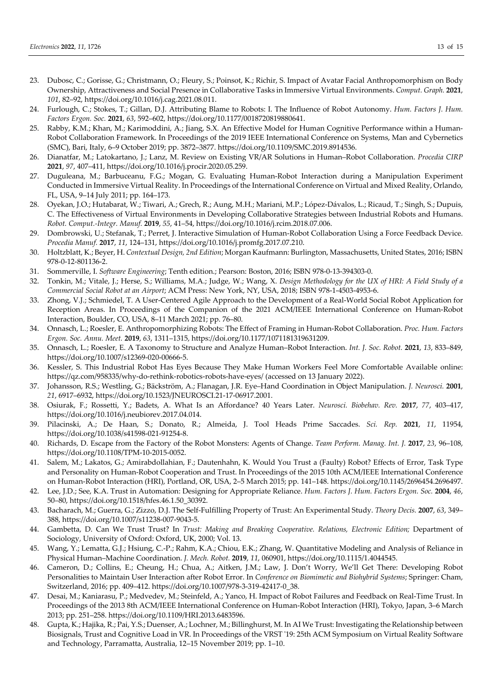- 23. Dubosc, C.; Gorisse, G.; Christmann, O.; Fleury, S.; Poinsot, K.; Richir, S. Impact of Avatar Facial Anthropomorphism on Body Ownership, Attractiveness and Social Presence in Collaborative Tasks in Immersive Virtual Environments. *Comput. Graph.* **2021**, *101*, 82–92, https://doi.org/10.1016/j.cag.2021.08.011.
- 24. Furlough, C.; Stokes, T.; Gillan, D.J. Attributing Blame to Robots: I. The Influence of Robot Autonomy. *Hum. Factors J. Hum. Factors Ergon. Soc.* **2021**, *63*, 592–602, https://doi.org/10.1177/0018720819880641.
- 25. Rabby, K.M.; Khan, M.; Karimoddini, A.; Jiang, S.X. An Effective Model for Human Cognitive Performance within a Human-Robot Collaboration Framework. In Proceedings of the 2019 IEEE International Conference on Systems, Man and Cybernetics (SMC), Bari, Italy, 6–9 October 2019; pp. 3872–3877. https://doi.org/10.1109/SMC.2019.8914536.
- 26. Dianatfar, M.; Latokartano, J.; Lanz, M. Review on Existing VR/AR Solutions in Human–Robot Collaboration. *Procedia CIRP* **2021**, *97*, 407–411, https://doi.org/10.1016/j.procir.2020.05.259.
- 27. Duguleana, M.; Barbuceanu, F.G.; Mogan, G. Evaluating Human-Robot Interaction during a Manipulation Experiment Conducted in Immersive Virtual Reality. In Proceedings of the International Conference on Virtual and Mixed Reality, Orlando, FL, USA, 9–14 July 2011; pp. 164–173.
- 28. Oyekan, J.O.; Hutabarat, W.; Tiwari, A.; Grech, R.; Aung, M.H.; Mariani, M.P.; López-Dávalos, L.; Ricaud, T.; Singh, S.; Dupuis, C. The Effectiveness of Virtual Environments in Developing Collaborative Strategies between Industrial Robots and Humans. *Robot. Comput.-Integr. Manuf.* **2019**, *55*, 41–54, https://doi.org/10.1016/j.rcim.2018.07.006.
- 29. Dombrowski, U.; Stefanak, T.; Perret, J. Interactive Simulation of Human-Robot Collaboration Using a Force Feedback Device. *Procedia Manuf.* **2017**, *11*, 124–131, https://doi.org/10.1016/j.promfg.2017.07.210.
- 30. Holtzblatt, K.; Beyer, H. *Contextual Design, 2nd Edition*; Morgan Kaufmann: Burlington, Massachusetts, United States, 2016; ISBN 978-0-12-801136-2.
- 31. Sommerville, I. *Software Engineering*; Tenth edition.; Pearson: Boston, 2016; ISBN 978-0-13-394303-0.
- 32. Tonkin, M.; Vitale, J.; Herse, S.; Williams, M.A.; Judge, W.; Wang, X. *Design Methodology for the UX of HRI: A Field Study of a Commercial Social Robot at an Airport*; ACM Press: New York, NY, USA, 2018; ISBN 978-1-4503-4953-6.
- 33. Zhong, V.J.; Schmiedel, T. A User-Centered Agile Approach to the Development of a Real-World Social Robot Application for Reception Areas. In Proceedings of the Companion of the 2021 ACM/IEEE International Conference on Human-Robot Interaction, Boulder, CO, USA, 8–11 March 2021; pp. 76–80.
- 34. Onnasch, L.; Roesler, E. Anthropomorphizing Robots: The Effect of Framing in Human-Robot Collaboration. *Proc. Hum. Factors Ergon. Soc. Annu. Meet.* **2019**, *63*, 1311–1315, https://doi.org/10.1177/1071181319631209.
- 35. Onnasch, L.; Roesler, E. A Taxonomy to Structure and Analyze Human–Robot Interaction. *Int. J. Soc. Robot.* **2021**, *13*, 833–849, https://doi.org/10.1007/s12369-020-00666-5.
- 36. Kessler, S. This Industrial Robot Has Eyes Because They Make Human Workers Feel More Comfortable Available online: https://qz.com/958335/why-do-rethink-robotics-robots-have-eyes/ (accessed on 13 January 2022).
- 37. Johansson, R.S.; Westling, G.; Bäckström, A.; Flanagan, J.R. Eye–Hand Coordination in Object Manipulation. *J. Neurosci.* **2001**, *21*, 6917–6932, https://doi.org/10.1523/JNEUROSCI.21-17-06917.2001.
- 38. Osiurak, F.; Rossetti, Y.; Badets, A. What Is an Affordance? 40 Years Later. *Neurosci. Biobehav. Rev.* **2017**, *77*, 403–417, https://doi.org/10.1016/j.neubiorev.2017.04.014.
- 39. Pilacinski, A.; De Haan, S.; Donato, R.; Almeida, J. Tool Heads Prime Saccades. *Sci. Rep.* **2021**, *11*, 11954, https://doi.org/10.1038/s41598-021-91254-8.
- 40. Richards, D. Escape from the Factory of the Robot Monsters: Agents of Change. *Team Perform. Manag. Int. J.* **2017**, *23*, 96–108, https://doi.org/10.1108/TPM-10-2015-0052.
- 41. Salem, M.; Lakatos, G.; Amirabdollahian, F.; Dautenhahn, K. Would You Trust a (Faulty) Robot? Effects of Error, Task Type and Personality on Human-Robot Cooperation and Trust. In Proceedings of the 2015 10th ACM/IEEE International Conference on Human-Robot Interaction (HRI), Portland, OR, USA, 2–5 March 2015; pp. 141–148. https://doi.org/10.1145/2696454.2696497.
- 42. Lee, J.D.; See, K.A. Trust in Automation: Designing for Appropriate Reliance. *Hum. Factors J. Hum. Factors Ergon. Soc.* **2004**, *46*, 50–80, https://doi.org/10.1518/hfes.46.1.50\_30392.
- 43. Bacharach, M.; Guerra, G.; Zizzo, D.J. The Self-Fulfilling Property of Trust: An Experimental Study. *Theory Decis.* **2007**, *63*, 349– 388, https://doi.org/10.1007/s11238-007-9043-5.
- 44. Gambetta, D. Can We Trust Trust? In *Trust: Making and Breaking Cooperative. Relations, Electronic Edition;* Department of Sociology, University of Oxford: Oxford, UK, 2000; Vol. 13.
- 45. Wang, Y.; Lematta, G.J.; Hsiung, C.-P.; Rahm, K.A.; Chiou, E.K.; Zhang, W. Quantitative Modeling and Analysis of Reliance in Physical Human–Machine Coordination. *J. Mech. Robot.* **2019**, *11*, 060901, https://doi.org/10.1115/1.4044545.
- 46. Cameron, D.; Collins, E.; Cheung, H.; Chua, A.; Aitken, J.M.; Law, J. Don't Worry, We'll Get There: Developing Robot Personalities to Maintain User Interaction after Robot Error. In *Conference on Biomimetic and Biohybrid Systems*; Springer: Cham, Switzerland, 2016; pp. 409–412. https://doi.org/10.1007/978-3-319-42417-0\_38.
- 47. Desai, M.; Kaniarasu, P.; Medvedev, M.; Steinfeld, A.; Yanco, H. Impact of Robot Failures and Feedback on Real-Time Trust. In Proceedings of the 2013 8th ACM/IEEE International Conference on Human-Robot Interaction (HRI), Tokyo, Japan, 3–6 March 2013; pp. 251–258. https://doi.org/10.1109/HRI.2013.6483596.
- 48. Gupta, K.; Hajika, R.; Pai, Y.S.; Duenser, A.; Lochner, M.; Billinghurst, M. In AI We Trust: Investigating the Relationship between Biosignals, Trust and Cognitive Load in VR. In Proceedings of the VRST '19: 25th ACM Symposium on Virtual Reality Software and Technology, Parramatta, Australia, 12–15 November 2019; pp. 1–10.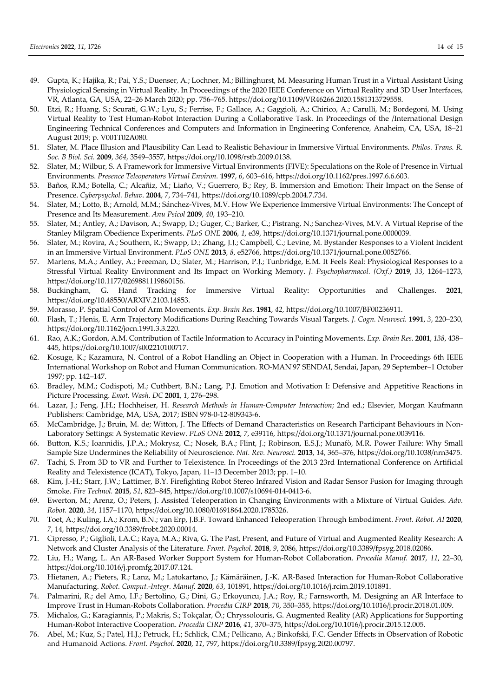- 49. Gupta, K.; Hajika, R.; Pai, Y.S.; Duenser, A.; Lochner, M.; Billinghurst, M. Measuring Human Trust in a Virtual Assistant Using Physiological Sensing in Virtual Reality. In Proceedings of the 2020 IEEE Conference on Virtual Reality and 3D User Interfaces, VR, Atlanta, GA, USA, 22–26 March 2020; pp. 756–765. https://doi.org/10.1109/VR46266.2020.1581313729558.
- 50. Etzi, R.; Huang, S.; Scurati, G.W.; Lyu, S.; Ferrise, F.; Gallace, A.; Gaggioli, A.; Chirico, A.; Carulli, M.; Bordegoni, M. Using Virtual Reality to Test Human-Robot Interaction During a Collaborative Task. In Proceedings of the /International Design Engineering Technical Conferences and Computers and Information in Engineering Conference, Anaheim, CA, USA, 18–21 August 2019; p. V001T02A080.
- 51. Slater, M. Place Illusion and Plausibility Can Lead to Realistic Behaviour in Immersive Virtual Environments. *Philos. Trans. R. Soc. B Biol. Sci.* **2009**, *364*, 3549–3557, https://doi.org/10.1098/rstb.2009.0138.
- 52. Slater, M.; Wilbur, S. A Framework for Immersive Virtual Environments (FIVE): Speculations on the Role of Presence in Virtual Environments. *Presence Teleoperators Virtual Environ.* **1997**, *6*, 603–616, https://doi.org/10.1162/pres.1997.6.6.603.
- 53. Baños, R.M.; Botella, C.; Alcañiz, M.; Liaño, V.; Guerrero, B.; Rey, B. Immersion and Emotion: Their Impact on the Sense of Presence. *Cyberpsychol. Behav.* **2004**, *7*, 734–741, https://doi.org/10.1089/cpb.2004.7.734.
- 54. Slater, M.; Lotto, B.; Arnold, M.M.; Sánchez-Vives, M.V. How We Experience Immersive Virtual Environments: The Concept of Presence and Its Measurement. *Anu Psicol* **2009**, *40*, 193–210.
- 55. Slater, M.; Antley, A.; Davison, A.; Swapp, D.; Guger, C.; Barker, C.; Pistrang, N.; Sanchez-Vives, M.V. A Virtual Reprise of the Stanley Milgram Obedience Experiments. *PLoS ONE* **2006**, *1*, e39, https://doi.org/10.1371/journal.pone.0000039.
- 56. Slater, M.; Rovira, A.; Southern, R.; Swapp, D.; Zhang, J.J.; Campbell, C.; Levine, M. Bystander Responses to a Violent Incident in an Immersive Virtual Environment. *PLoS ONE* **2013**, *8*, e52766, https://doi.org/10.1371/journal.pone.0052766.
- 57. Martens, M.A.; Antley, A.; Freeman, D.; Slater, M.; Harrison, P.J.; Tunbridge, E.M. It Feels Real: Physiological Responses to a Stressful Virtual Reality Environment and Its Impact on Working Memory. *J. Psychopharmacol. (Oxf.)* **2019**, *33*, 1264–1273, https://doi.org/10.1177/0269881119860156.
- 58. Buckingham, G. Hand Tracking for Immersive Virtual Reality: Opportunities and Challenges. **2021**, https://doi.org/10.48550/ARXIV.2103.14853.
- 59. Morasso, P. Spatial Control of Arm Movements. *Exp. Brain Res.* **1981**, *42*, https://doi.org/10.1007/BF00236911.
- 60. Flash, T.; Henis, E. Arm Trajectory Modifications During Reaching Towards Visual Targets. *J. Cogn. Neurosci.* **1991**, *3*, 220–230, https://doi.org/10.1162/jocn.1991.3.3.220.
- 61. Rao, A.K.; Gordon, A.M. Contribution of Tactile Information to Accuracy in Pointing Movements. *Exp. Brain Res.* **2001**, *138*, 438– 445, https://doi.org/10.1007/s002210100717.
- 62. Kosuge, K.; Kazamura, N. Control of a Robot Handling an Object in Cooperation with a Human. In Proceedings 6th IEEE International Workshop on Robot and Human Communication. RO-MAN'97 SENDAI, Sendai, Japan, 29 September–1 October 1997; pp. 142–147.
- 63. Bradley, M.M.; Codispoti, M.; Cuthbert, B.N.; Lang, P.J. Emotion and Motivation I: Defensive and Appetitive Reactions in Picture Processing. *Emot. Wash. DC* **2001**, *1*, 276–298.
- 64. Lazar, J.; Feng, J.H.; Hochheiser, H. *Research Methods in Human-Computer Interaction*; 2nd ed.; Elsevier, Morgan Kaufmann Publishers: Cambridge, MA, USA, 2017; ISBN 978-0-12-809343-6.
- 65. McCambridge, J.; Bruin, M. de; Witton, J. The Effects of Demand Characteristics on Research Participant Behaviours in Non-Laboratory Settings: A Systematic Review. *PLoS ONE* **2012**, *7*, e39116, https://doi.org/10.1371/journal.pone.0039116.
- 66. Button, K.S.; Ioannidis, J.P.A.; Mokrysz, C.; Nosek, B.A.; Flint, J.; Robinson, E.S.J.; Munafò, M.R. Power Failure: Why Small Sample Size Undermines the Reliability of Neuroscience. *Nat. Rev. Neurosci.* **2013**, *14*, 365–376, https://doi.org/10.1038/nrn3475.
- 67. Tachi, S. From 3D to VR and Further to Telexistence. In Proceedings of the 2013 23rd International Conference on Artificial Reality and Telexistence (ICAT), Tokyo, Japan, 11–13 December 2013; pp. 1–10.
- 68. Kim, J.-H.; Starr, J.W.; Lattimer, B.Y. Firefighting Robot Stereo Infrared Vision and Radar Sensor Fusion for Imaging through Smoke. *Fire Technol.* **2015**, *51*, 823–845, https://doi.org/10.1007/s10694-014-0413-6.
- 69. Ewerton, M.; Arenz, O.; Peters, J. Assisted Teleoperation in Changing Environments with a Mixture of Virtual Guides. *Adv. Robot.* **2020**, *34*, 1157–1170, https://doi.org/10.1080/01691864.2020.1785326.
- 70. Toet, A.; Kuling, I.A.; Krom, B.N.; van Erp, J.B.F. Toward Enhanced Teleoperation Through Embodiment. *Front. Robot. AI* **2020**, *7*, 14, https://doi.org/10.3389/frobt.2020.00014.
- 71. Cipresso, P.; Giglioli, I.A.C.; Raya, M.A.; Riva, G. The Past, Present, and Future of Virtual and Augmented Reality Research: A Network and Cluster Analysis of the Literature. *Front. Psychol.* **2018**, *9*, 2086, https://doi.org/10.3389/fpsyg.2018.02086.
- 72. Liu, H.; Wang, L. An AR-Based Worker Support System for Human-Robot Collaboration. *Procedia Manuf.* **2017**, *11*, 22–30, https://doi.org/10.1016/j.promfg.2017.07.124.
- 73. Hietanen, A.; Pieters, R.; Lanz, M.; Latokartano, J.; Kämäräinen, J.-K. AR-Based Interaction for Human-Robot Collaborative Manufacturing. *Robot. Comput.-Integr. Manuf.* **2020**, *63*, 101891, https://doi.org/10.1016/j.rcim.2019.101891.
- 74. Palmarini, R.; del Amo, I.F.; Bertolino, G.; Dini, G.; Erkoyuncu, J.A.; Roy, R.; Farnsworth, M. Designing an AR Interface to Improve Trust in Human-Robots Collaboration. *Procedia CIRP* **2018**, *70*, 350–355, https://doi.org/10.1016/j.procir.2018.01.009.
- 75. Michalos, G.; Karagiannis, P.; Makris, S.; Tokçalar, Ö.; Chryssolouris, G. Augmented Reality (AR) Applications for Supporting Human-Robot Interactive Cooperation. *Procedia CIRP* **2016**, *41*, 370–375, https://doi.org/10.1016/j.procir.2015.12.005.
- 76. Abel, M.; Kuz, S.; Patel, H.J.; Petruck, H.; Schlick, C.M.; Pellicano, A.; Binkofski, F.C. Gender Effects in Observation of Robotic and Humanoid Actions. *Front. Psychol.* **2020**, *11*, 797, https://doi.org/10.3389/fpsyg.2020.00797.